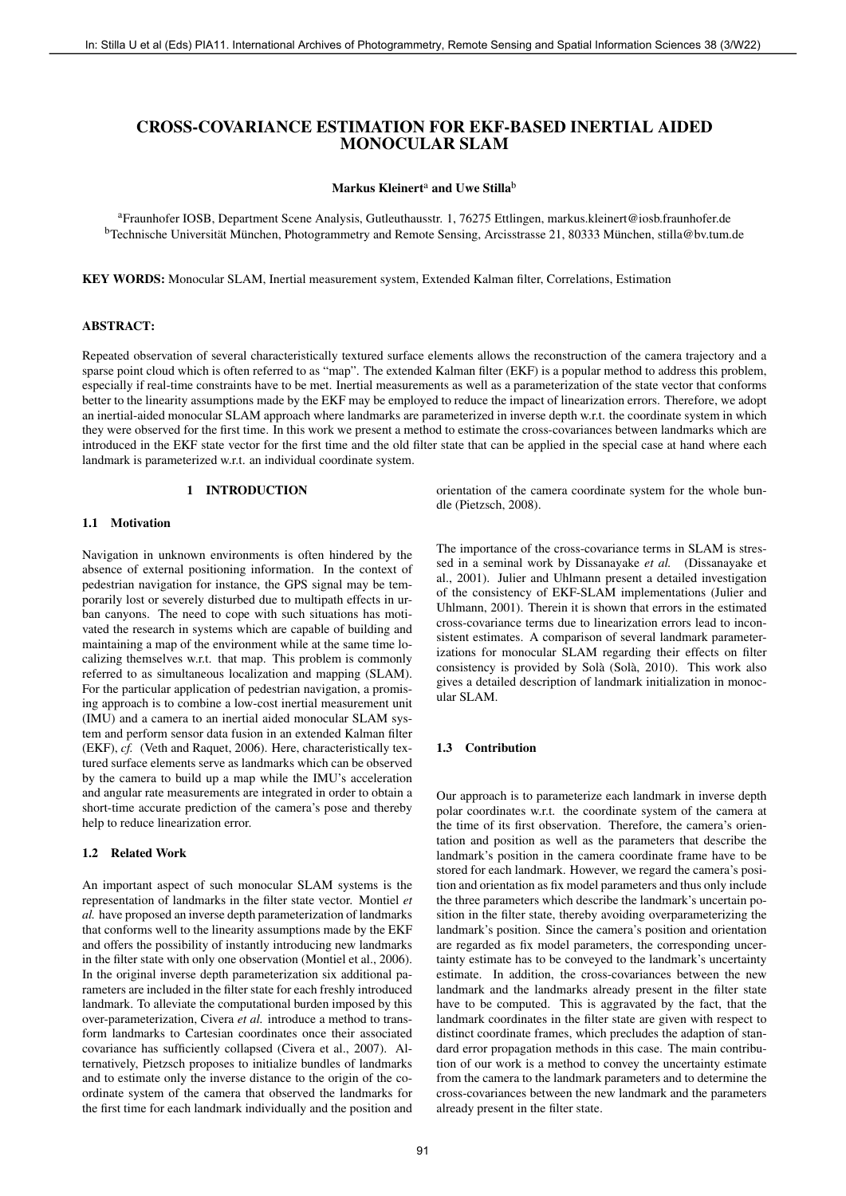# CROSS-COVARIANCE ESTIMATION FOR EKF-BASED INERTIAL AIDED MONOCULAR SLAM

### Markus Kleinert<sup>a</sup> and Uwe Stilla<sup>b</sup>

<sup>a</sup>Fraunhofer IOSB, Department Scene Analysis, Gutleuthausstr. 1, 76275 Ettlingen, markus.kleinert@iosb.fraunhofer.de <sup>b</sup>Technische Universität München, Photogrammetry and Remote Sensing, Arcisstrasse 21, 80333 München, stilla@bv.tum.de

KEY WORDS: Monocular SLAM, Inertial measurement system, Extended Kalman filter, Correlations, Estimation

#### ABSTRACT:

Repeated observation of several characteristically textured surface elements allows the reconstruction of the camera trajectory and a sparse point cloud which is often referred to as "map". The extended Kalman filter (EKF) is a popular method to address this problem, especially if real-time constraints have to be met. Inertial measurements as well as a parameterization of the state vector that conforms better to the linearity assumptions made by the EKF may be employed to reduce the impact of linearization errors. Therefore, we adopt an inertial-aided monocular SLAM approach where landmarks are parameterized in inverse depth w.r.t. the coordinate system in which they were observed for the first time. In this work we present a method to estimate the cross-covariances between landmarks which are introduced in the EKF state vector for the first time and the old filter state that can be applied in the special case at hand where each landmark is parameterized w.r.t. an individual coordinate system.

# 1 INTRODUCTION

# 1.1 Motivation

Navigation in unknown environments is often hindered by the absence of external positioning information. In the context of pedestrian navigation for instance, the GPS signal may be temporarily lost or severely disturbed due to multipath effects in urban canyons. The need to cope with such situations has motivated the research in systems which are capable of building and maintaining a map of the environment while at the same time localizing themselves w.r.t. that map. This problem is commonly referred to as simultaneous localization and mapping (SLAM). For the particular application of pedestrian navigation, a promising approach is to combine a low-cost inertial measurement unit (IMU) and a camera to an inertial aided monocular SLAM system and perform sensor data fusion in an extended Kalman filter (EKF), *cf.* (Veth and Raquet, 2006). Here, characteristically textured surface elements serve as landmarks which can be observed by the camera to build up a map while the IMU's acceleration and angular rate measurements are integrated in order to obtain a short-time accurate prediction of the camera's pose and thereby help to reduce linearization error.

### 1.2 Related Work

An important aspect of such monocular SLAM systems is the representation of landmarks in the filter state vector. Montiel *et al.* have proposed an inverse depth parameterization of landmarks that conforms well to the linearity assumptions made by the EKF and offers the possibility of instantly introducing new landmarks in the filter state with only one observation (Montiel et al., 2006). In the original inverse depth parameterization six additional parameters are included in the filter state for each freshly introduced landmark. To alleviate the computational burden imposed by this over-parameterization, Civera *et al.* introduce a method to transform landmarks to Cartesian coordinates once their associated covariance has sufficiently collapsed (Civera et al., 2007). Alternatively, Pietzsch proposes to initialize bundles of landmarks and to estimate only the inverse distance to the origin of the coordinate system of the camera that observed the landmarks for the first time for each landmark individually and the position and orientation of the camera coordinate system for the whole bundle (Pietzsch, 2008).

The importance of the cross-covariance terms in SLAM is stressed in a seminal work by Dissanayake *et al.* (Dissanayake et al., 2001). Julier and Uhlmann present a detailed investigation of the consistency of EKF-SLAM implementations (Julier and Uhlmann, 2001). Therein it is shown that errors in the estimated cross-covariance terms due to linearization errors lead to inconsistent estimates. A comparison of several landmark parameterizations for monocular SLAM regarding their effects on filter consistency is provided by Solà (Solà, 2010). This work also gives a detailed description of landmark initialization in monocular SLAM.

#### 1.3 Contribution

Our approach is to parameterize each landmark in inverse depth polar coordinates w.r.t. the coordinate system of the camera at the time of its first observation. Therefore, the camera's orientation and position as well as the parameters that describe the landmark's position in the camera coordinate frame have to be stored for each landmark. However, we regard the camera's position and orientation as fix model parameters and thus only include the three parameters which describe the landmark's uncertain position in the filter state, thereby avoiding overparameterizing the landmark's position. Since the camera's position and orientation are regarded as fix model parameters, the corresponding uncertainty estimate has to be conveyed to the landmark's uncertainty estimate. In addition, the cross-covariances between the new landmark and the landmarks already present in the filter state have to be computed. This is aggravated by the fact, that the landmark coordinates in the filter state are given with respect to distinct coordinate frames, which precludes the adaption of standard error propagation methods in this case. The main contribution of our work is a method to convey the uncertainty estimate from the camera to the landmark parameters and to determine the cross-covariances between the new landmark and the parameters already present in the filter state. Fig. (a) Eds) and (Fig. Disk) international Archives of Photogrammetry, Bernsh Steam (Fig. Disk) INTERFETAL AIDED<br>
CROSS-COVARIANCE ESTIMATION FOR EXP-BASED INERTAIL ADED<br>
<sup>1</sup>Tunnistic COU, Lexemina Sensing and Spatial In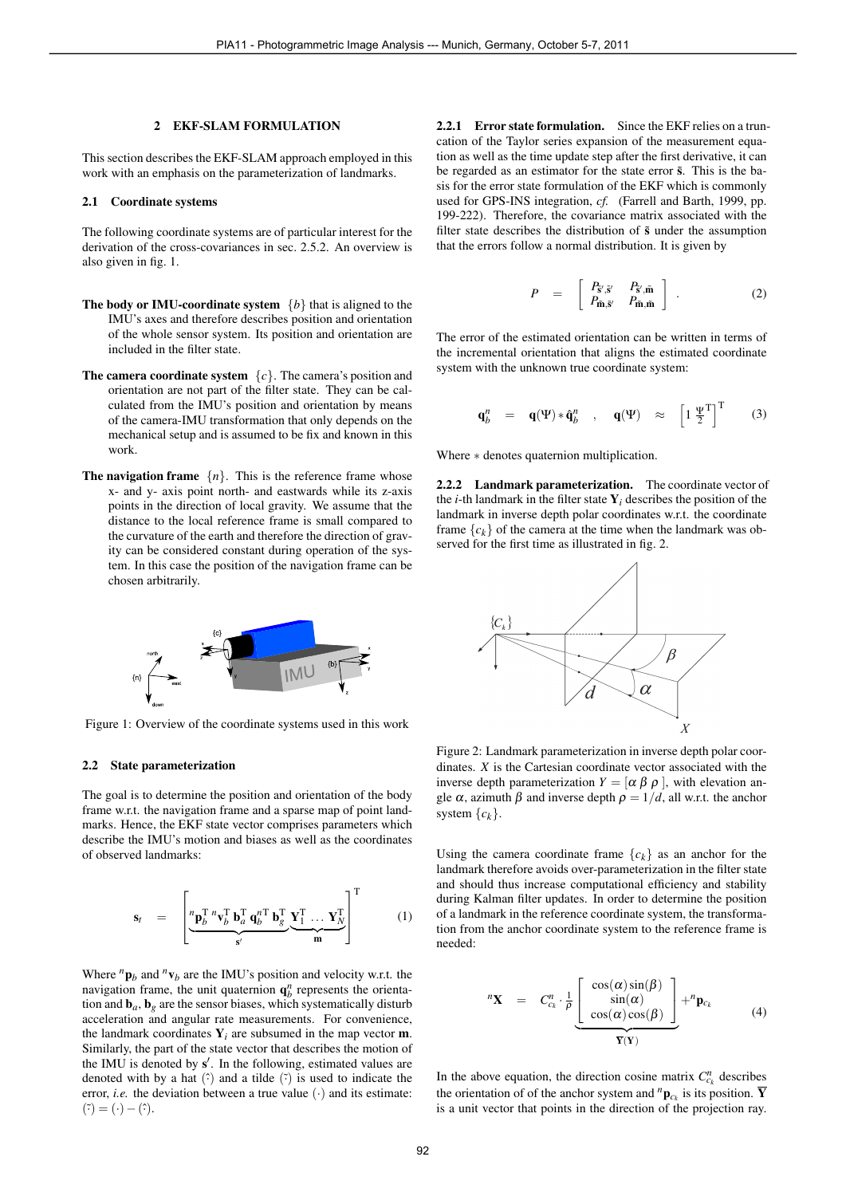#### 2 EKF-SLAM FORMULATION

This section describes the EKF-SLAM approach employed in this work with an emphasis on the parameterization of landmarks.

### 2.1 Coordinate systems

The following coordinate systems are of particular interest for the derivation of the cross-covariances in sec. 2.5.2. An overview is also given in fig. 1.

- **The body or IMU-coordinate system**  $\{b\}$  that is aligned to the IMU's axes and therefore describes position and orientation of the whole sensor system. Its position and orientation are included in the filter state.
- **The camera coordinate system**  $\{c\}$ . The camera's position and orientation are not part of the filter state. They can be calculated from the IMU's position and orientation by means of the camera-IMU transformation that only depends on the mechanical setup and is assumed to be fix and known in this work.
- **The navigation frame**  $\{n\}$ . This is the reference frame whose x- and y- axis point north- and eastwards while its z-axis points in the direction of local gravity. We assume that the distance to the local reference frame is small compared to the curvature of the earth and therefore the direction of gravity can be considered constant during operation of the system. In this case the position of the navigation frame can be chosen arbitrarily.



Figure 1: Overview of the coordinate systems used in this work

#### 2.2 State parameterization

The goal is to determine the position and orientation of the body frame w.r.t. the navigation frame and a sparse map of point landmarks. Hence, the EKF state vector comprises parameters which describe the IMU's motion and biases as well as the coordinates of observed landmarks:

$$
\mathbf{s}_t = \left[ \underbrace{\mathbf{p}_b^{\mathrm{T}} \mathbf{v}_b^{\mathrm{T}} \mathbf{b}_a^{\mathrm{T}} \mathbf{q}_b^{\mathrm{T}} \mathbf{b}_g^{\mathrm{T}} \mathbf{V}_1^{\mathrm{T}} \dots \mathbf{Y}_N^{\mathrm{T}}}{\mathbf{s}'} \right]^{\mathrm{T}} \qquad (1)
$$

Where  ${}^n\mathbf{p}_b$  and  ${}^n\mathbf{v}_b$  are the IMU's position and velocity w.r.t. the navigation frame, the unit quaternion  $\mathbf{q}_b^n$  represents the orientation and  $\mathbf{b}_a$ ,  $\mathbf{b}_g$  are the sensor biases, which systematically disturb acceleration and angular rate measurements. For convenience, the landmark coordinates  $Y_i$  are subsumed in the map vector  $m$ . Similarly, the part of the state vector that describes the motion of the IMU is denoted by  $s'$ . In the following, estimated values are denoted with by a hat  $(\hat{\cdot})$  and a tilde  $(\hat{\cdot})$  is used to indicate the error, *i.e.* the deviation between a true value  $(\cdot)$  and its estimate:  $(\tilde{\cdot}) = (\cdot) - (\hat{\cdot}).$ 

2.2.1 Error state formulation. Since the EKF relies on a truncation of the Taylor series expansion of the measurement equation as well as the time update step after the first derivative, it can be regarded as an estimator for the state error  $\tilde{s}$ . This is the basis for the error state formulation of the EKF which is commonly used for GPS-INS integration, *cf.* (Farrell and Barth, 1999, pp. 199-222). Therefore, the covariance matrix associated with the filter state describes the distribution of  $\tilde{s}$  under the assumption that the errors follow a normal distribution. It is given by

$$
P = \begin{bmatrix} P_{\tilde{\mathbf{s}}', \tilde{\mathbf{s}}'} & P_{\tilde{\mathbf{s}}', \tilde{\mathbf{m}}} \\ P_{\tilde{\mathbf{m}}, \tilde{\mathbf{s}}'} & P_{\tilde{\mathbf{m}}, \tilde{\mathbf{m}}} \end{bmatrix} .
$$
 (2)

The error of the estimated orientation can be written in terms of the incremental orientation that aligns the estimated coordinate system with the unknown true coordinate system:

$$
\mathbf{q}_{b}^{n} = \mathbf{q}(\Psi) * \hat{\mathbf{q}}_{b}^{n} , \mathbf{q}(\Psi) \approx \begin{bmatrix} 1 & \Psi^{T} \\ \frac{\Psi}{2} & 1 \end{bmatrix}^{T} (3)
$$

Where ∗ denotes quaternion multiplication.

2.2.2 Landmark parameterization. The coordinate vector of the *i*-th landmark in the filter state  $Y_i$  describes the position of the landmark in inverse depth polar coordinates w.r.t. the coordinate frame  ${c_k}$  of the camera at the time when the landmark was observed for the first time as illustrated in fig. 2.



Figure 2: Landmark parameterization in inverse depth polar coordinates. *X* is the Cartesian coordinate vector associated with the inverse depth parameterization  $Y = [\alpha \beta \rho]$ , with elevation angle  $\alpha$ , azimuth  $\beta$  and inverse depth  $\rho = 1/d$ , all w.r.t. the anchor system  ${c_k}$ .

Using the camera coordinate frame  ${c_k}$  as an anchor for the landmark therefore avoids over-parameterization in the filter state and should thus increase computational efficiency and stability during Kalman filter updates. In order to determine the position of a landmark in the reference coordinate system, the transformation from the anchor coordinate system to the reference frame is needed:

$$
{}^{n}\mathbf{X} = C_{c_{k}}^{n} \cdot \frac{1}{\rho} \underbrace{\begin{bmatrix} \cos(\alpha)\sin(\beta) \\ \sin(\alpha) \\ \cos(\alpha)\cos(\beta) \end{bmatrix}}_{\overline{\mathbf{Y}}(\mathbf{Y})} + {}^{n}\mathbf{p}_{c_{k}} \qquad (4)
$$

In the above equation, the direction cosine matrix  $C_{c_k}^n$  describes the orientation of of the anchor system and  $^{n}$ **p**<sub>*c<sub>k</sub>*</sub> is its position.  $\overline{Y}$ is a unit vector that points in the direction of the projection ray.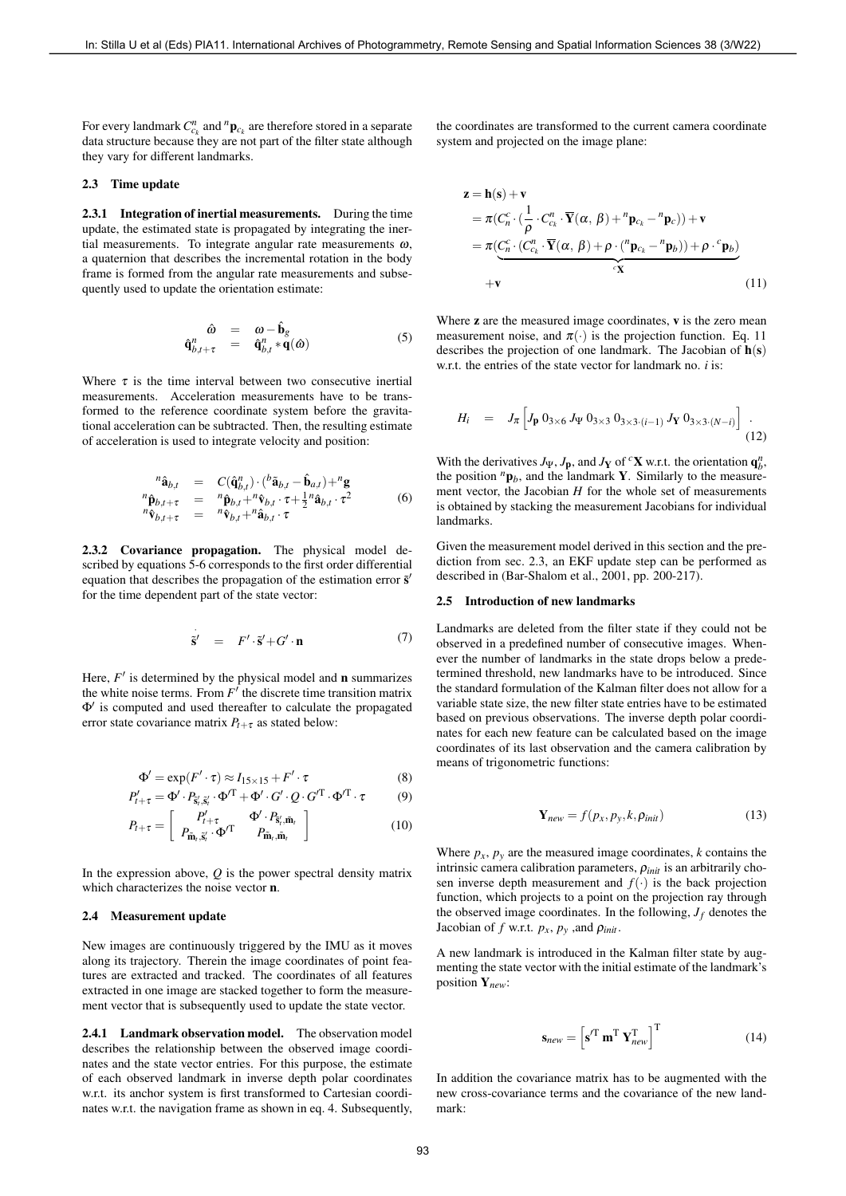For every landmark  $C_{c_k}^n$  and  ${}^n\mathbf{p}_{c_k}$  are therefore stored in a separate data structure because they are not part of the filter state although they vary for different landmarks.

# 2.3 Time update

2.3.1 Integration of inertial measurements. During the time update, the estimated state is propagated by integrating the inertial measurements. To integrate angular rate measurements  $\omega$ , a quaternion that describes the incremental rotation in the body frame is formed from the angular rate measurements and subsequently used to update the orientation estimate:

$$
\begin{array}{rcl}\n\hat{\omega} & = & \omega - \hat{\mathbf{b}}_g \\
\hat{\mathbf{q}}_{b,t+\tau}^n & = & \hat{\mathbf{q}}_{b,t}^n * \mathbf{q}(\hat{\omega})\n\end{array} \tag{5}
$$

Where  $\tau$  is the time interval between two consecutive inertial measurements. Acceleration measurements have to be transformed to the reference coordinate system before the gravitational acceleration can be subtracted. Then, the resulting estimate of acceleration is used to integrate velocity and position:

$$
\begin{array}{rcl}\n^{n}\hat{\mathbf{a}}_{b,t} & = & C(\hat{\mathbf{q}}_{b,t}^{n}) \cdot ({}^{b}\tilde{\mathbf{a}}_{b,t} - \hat{\mathbf{b}}_{a,t}) + {}^{n}\mathbf{g} \\
^{n}\hat{\mathbf{p}}_{b,t+\tau} & = & {}^{n}\hat{\mathbf{p}}_{b,t} + {}^{n}\hat{\mathbf{v}}_{b,t} \cdot \tau + \frac{1}{2} {}^{n}\hat{\mathbf{a}}_{b,t} \cdot \tau^{2} \\
^{n}\hat{\mathbf{v}}_{b,t+\tau} & = & {}^{n}\hat{\mathbf{v}}_{b,t} + {}^{n}\hat{\mathbf{a}}_{b,t} \cdot \tau\n\end{array} \tag{6}
$$

2.3.2 Covariance propagation. The physical model described by equations 5-6 corresponds to the first order differential equation that describes the propagation of the estimation error  $\tilde{s}'$ for the time dependent part of the state vector:

$$
\dot{\tilde{\mathbf{s}}}' = F' \cdot \tilde{\mathbf{s}}' + G' \cdot \mathbf{n} \tag{7}
$$

Here,  $F'$  is determined by the physical model and **n** summarizes the white noise terms. From  $F'$  the discrete time transition matrix  $\Phi'$  is computed and used thereafter to calculate the propagated error state covariance matrix  $P_{t+\tau}$  as stated below:

$$
\Phi' = \exp(F' \cdot \tau) \approx I_{15 \times 15} + F' \cdot \tau \tag{8}
$$

$$
P'_{t+\tau} = \Phi' \cdot P_{\tilde{s}'_t, \tilde{s}'_t} \cdot \Phi'^T + \Phi' \cdot G' \cdot Q \cdot G'^T \cdot \Phi'^T \cdot \tau \tag{9}
$$

$$
P_{t+\tau} = \left[ \begin{array}{cc} P'_{t+\tau} & \Phi' \cdot P_{\tilde{s}'_t, \tilde{\mathbf{m}}_t} \\ P_{\tilde{\mathbf{m}}_t, \tilde{s}'_t} \cdot \Phi'^{\mathrm{T}} & P_{\tilde{\mathbf{m}}_t, \tilde{\mathbf{m}}_t} \end{array} \right] \tag{10}
$$

In the expression above, *Q* is the power spectral density matrix which characterizes the noise vector n.

### 2.4 Measurement update

New images are continuously triggered by the IMU as it moves along its trajectory. Therein the image coordinates of point features are extracted and tracked. The coordinates of all features extracted in one image are stacked together to form the measurement vector that is subsequently used to update the state vector.

2.4.1 Landmark observation model. The observation model describes the relationship between the observed image coordinates and the state vector entries. For this purpose, the estimate of each observed landmark in inverse depth polar coordinates w.r.t. its anchor system is first transformed to Cartesian coordinates w.r.t. the navigation frame as shown in eq. 4. Subsequently,

the coordinates are transformed to the current camera coordinate system and projected on the image plane:

$$
\mathbf{z} = \mathbf{h}(\mathbf{s}) + \mathbf{v}
$$
  
=  $\pi (C_n^c \cdot (\frac{1}{\rho} \cdot C_{c_k}^n \cdot \overline{\mathbf{Y}}(\alpha, \beta) + {}^n \mathbf{p}_{c_k} - {}^n \mathbf{p}_c)) + \mathbf{v}$   
=  $\pi (\underbrace{C_n^c \cdot (C_{c_k}^n \cdot \overline{\mathbf{Y}}(\alpha, \beta) + \rho \cdot ({}^n \mathbf{p}_{c_k} - {}^n \mathbf{p}_b)) + \rho \cdot {}^c \mathbf{p}_b}_{\in \mathbf{X}}$   
+ $\mathbf{v}$  (11)

Where  $z$  are the measured image coordinates,  $v$  is the zero mean measurement noise, and  $\pi(\cdot)$  is the projection function. Eq. 11 describes the projection of one landmark. The Jacobian of  $h(s)$ w.r.t. the entries of the state vector for landmark no. *i* is:

$$
H_i = J_{\pi} \left[ J_{\mathbf{p}} \, 0_{3 \times 6} \, J_{\Psi} \, 0_{3 \times 3} \, 0_{3 \times 3 \cdot (i-1)} \, J_{\mathbf{Y}} \, 0_{3 \times 3 \cdot (N-i)} \right] \, . \tag{12}
$$

With the derivatives  $J_{\Psi}$ ,  $J_{\mathbf{p}}$ , and  $J_{\mathbf{Y}}$  of <sup>c</sup>X w.r.t. the orientation  $\mathbf{q}^n_b$ , the position  ${}^n\mathbf{p}_b$ , and the landmark **Y**. Similarly to the measurement vector, the Jacobian *H* for the whole set of measurements is obtained by stacking the measurement Jacobians for individual landmarks.

Given the measurement model derived in this section and the prediction from sec. 2.3, an EKF update step can be performed as described in (Bar-Shalom et al., 2001, pp. 200-217).

#### 2.5 Introduction of new landmarks

Landmarks are deleted from the filter state if they could not be observed in a predefined number of consecutive images. Whenever the number of landmarks in the state drops below a predetermined threshold, new landmarks have to be introduced. Since the standard formulation of the Kalman filter does not allow for a variable state size, the new filter state entries have to be estimated based on previous observations. The inverse depth polar coordinates for each new feature can be calculated based on the image coordinates of its last observation and the camera calibration by means of trigonometric functions: First the trained of the continue of the continue of the continue of the continue of the continue of the continue of the continue of the continue of the continue of the continue of the continue of the continue of the cont

$$
\mathbf{Y}_{new} = f(p_x, p_y, k, \rho_{init}) \tag{13}
$$

Where  $p_x$ ,  $p_y$  are the measured image coordinates, *k* contains the intrinsic camera calibration parameters,  $\rho_{init}$  is an arbitrarily chosen inverse depth measurement and  $f(\cdot)$  is the back projection function, which projects to a point on the projection ray through the observed image coordinates. In the following,  $J_f$  denotes the Jacobian of *f* w.r.t.  $p_x$ ,  $p_y$ , and  $\rho_{init}$ .

A new landmark is introduced in the Kalman filter state by augmenting the state vector with the initial estimate of the landmark's position Y*new*:

$$
\mathbf{s}_{new} = \left[ \mathbf{s}^T \mathbf{m}^T \mathbf{Y}_{new}^T \right]^T \tag{14}
$$

In addition the covariance matrix has to be augmented with the new cross-covariance terms and the covariance of the new landmark: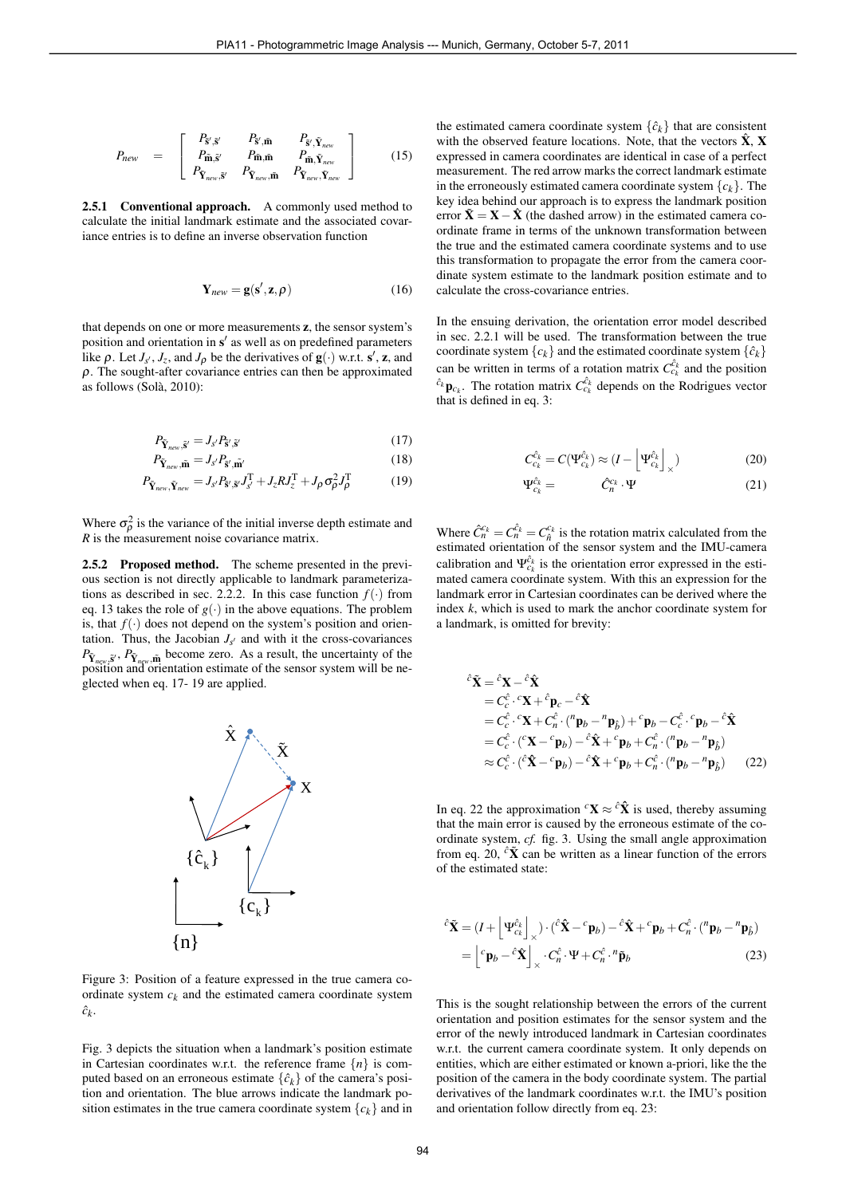$$
P_{new} = \begin{bmatrix} P_{\tilde{\mathbf{s}}',\tilde{\mathbf{s}}'} & P_{\tilde{\mathbf{s}}',\tilde{\mathbf{m}}} & P_{\tilde{\mathbf{s}}',\tilde{\mathbf{Y}}_{new}} \\ P_{\tilde{\mathbf{m}},\tilde{\mathbf{s}}'} & P_{\tilde{\mathbf{m}},\tilde{\mathbf{m}}} & P_{\tilde{\mathbf{m}},\tilde{\mathbf{Y}}_{new}} \\ P_{\tilde{\mathbf{Y}}_{new},\tilde{\mathbf{s}}'} & P_{\tilde{\mathbf{Y}}_{new},\tilde{\mathbf{m}}} & P_{\tilde{\mathbf{Y}}_{new},\tilde{\mathbf{Y}}_{new}} \end{bmatrix}
$$
 (15)

2.5.1 Conventional approach. A commonly used method to calculate the initial landmark estimate and the associated covariance entries is to define an inverse observation function

$$
\mathbf{Y}_{new} = \mathbf{g}(\mathbf{s}', \mathbf{z}, \rho) \tag{16}
$$

that depends on one or more measurements z, the sensor system's position and orientation in s' as well as on predefined parameters like  $\rho$ . Let  $J_{s'}$ ,  $J_z$ , and  $J_{\rho}$  be the derivatives of  $\mathbf{g}(\cdot)$  w.r.t.  $\mathbf{s}'$ ,  $\mathbf{z}$ , and  $\rho$ . The sought-after covariance entries can then be approximated as follows (Sola, 2010): `

$$
P_{\tilde{\mathbf{Y}}_{new}, \tilde{\mathbf{s}}'} = J_{s'} P_{\tilde{\mathbf{s}}', \tilde{\mathbf{s}}'} \tag{17}
$$

$$
P_{\tilde{\mathbf{Y}}_{new}, \tilde{\mathbf{m}}} = J_{s'} P_{\tilde{\mathbf{S}}', \tilde{\mathbf{m}}'} \tag{18}
$$

$$
P_{\tilde{\mathbf{Y}}_{new}, \tilde{\mathbf{Y}}_{new}} = J_{s'} P_{\tilde{\mathbf{S}}', \tilde{\mathbf{S}}'} J_{s'}^{\mathrm{T}} + J_{z} R J_{z}^{\mathrm{T}} + J_{\rho} \sigma_{\rho}^{2} J_{\rho}^{\mathrm{T}}
$$
(19)

Where  $\sigma_{\rho}^2$  is the variance of the initial inverse depth estimate and *R* is the measurement noise covariance matrix.

2.5.2 Proposed method. The scheme presented in the previous section is not directly applicable to landmark parameterizations as described in sec. 2.2.2. In this case function  $f(\cdot)$  from eq. 13 takes the role of  $g(\cdot)$  in the above equations. The problem is, that  $f(\cdot)$  does not depend on the system's position and orientation. Thus, the Jacobian  $J_{s'}$  and with it the cross-covariances  $P_{\tilde{Y}_{new}, \tilde{S}}$ ,  $P_{\tilde{Y}_{new}, \tilde{m}}$  become zero. As a result, the uncertainty of the position and orientation estimate of the sensor system will be neglected when eq. 17- 19 are applied.



Figure 3: Position of a feature expressed in the true camera coordinate system  $c_k$  and the estimated camera coordinate system  $\hat{c}_k$ .

Fig. 3 depicts the situation when a landmark's position estimate in Cartesian coordinates w.r.t. the reference frame  ${n}$  is computed based on an erroneous estimate  $\{\hat{c}_k\}$  of the camera's position and orientation. The blue arrows indicate the landmark position estimates in the true camera coordinate system  ${c_k}$  and in

the estimated camera coordinate system  $\{\hat{c}_k\}$  that are consistent with the observed feature locations. Note, that the vectors  $\hat{\mathbf{X}}$ , X expressed in camera coordinates are identical in case of a perfect measurement. The red arrow marks the correct landmark estimate in the erroneously estimated camera coordinate system  ${c_k}$ . The key idea behind our approach is to express the landmark position error  $\tilde{\mathbf{X}} = \mathbf{X} - \hat{\mathbf{X}}$  (the dashed arrow) in the estimated camera coordinate frame in terms of the unknown transformation between the true and the estimated camera coordinate systems and to use this transformation to propagate the error from the camera coordinate system estimate to the landmark position estimate and to calculate the cross-covariance entries. PIA11 - Procegarammetric Image Analysis ---- Munch, Germany, October 5-7, 2011<br>
The estimated connect contribute systems of the connect contribute system of the connect contribute system of the connect contribute system i

In the ensuing derivation, the orientation error model described in sec. 2.2.1 will be used. The transformation between the true coordinate system  ${c_k}$  and the estimated coordinate system  ${\hat{c_k}}$ can be written in terms of a rotation matrix  $C_{c_k}^{\hat{c}_k}$  and the position  $\hat{c}_k$ **p**<sub>*c<sub>k</sub>*</sub>. The rotation matrix  $C_{c_k}^{\hat{c}_k}$  depends on the Rodrigues vector that is defined in eq. 3:

$$
C_{c_k}^{\hat{c}_k} = C(\Psi_{c_k}^{\hat{c}_k}) \approx (I - \left[\Psi_{c_k}^{\hat{c}_k}\right]_{\times})
$$
\n(20)

$$
\hat{c}_k^c = \hat{C}_n^c \cdot \Psi \tag{21}
$$

Where  $\hat{C}_n^{c_k} = C_n^{\hat{c}_k} = C_{\hat{n}}^{c_k}$  is the rotation matrix calculated from the estimated orientation of the sensor system and the IMU-camera calibration and  $\Psi_{c_k}^{\hat{c}_k}$  is the orientation error expressed in the estimated camera coordinate system. With this an expression for the landmark error in Cartesian coordinates can be derived where the index *k*, which is used to mark the anchor coordinate system for a landmark, is omitted for brevity:

Ψ

$$
\hat{c}\tilde{\mathbf{X}} = \hat{c}\mathbf{X} - \hat{c}\hat{\mathbf{X}}\n= C_c^{\hat{c}} \cdot c\mathbf{X} + \hat{c}_{\mathbf{p}_c} - \hat{c}\hat{\mathbf{X}}\n= C_c^{\hat{c}} \cdot c\mathbf{X} + C_n^{\hat{c}} \cdot (\begin{matrix} n_{\mathbf{p}_b} - n_{\mathbf{p}_b} \end{matrix}) + c_{\mathbf{p}_b} - C_c^{\hat{c}} \cdot c_{\mathbf{p}_b} - \hat{c}\hat{\mathbf{X}}\n= C_c^{\hat{c}} \cdot (c\mathbf{X} - c_{\mathbf{p}_b}) - \hat{c}\hat{\mathbf{X}} + c_{\mathbf{p}_b} + C_n^{\hat{c}} \cdot (\begin{matrix} n_{\mathbf{p}_b} - n_{\mathbf{p}_b} \end{matrix})\n\approx C_c^{\hat{c}} \cdot (\hat{c}\hat{\mathbf{X}} - c_{\mathbf{p}_b}) - \hat{c}\hat{\mathbf{X}} + c_{\mathbf{p}_b} + C_n^{\hat{c}} \cdot (\begin{matrix} n_{\mathbf{p}_b} - n_{\mathbf{p}_b} \end{matrix}) \tag{22}
$$

In eq. 22 the approximation  ${}^c\mathbf{X} \approx {}^c\hat{\mathbf{X}}$  is used, thereby assuming that the main error is caused by the erroneous estimate of the coordinate system, *cf.* fig. 3. Using the small angle approximation from eq. 20,  $\partial \tilde{\mathbf{X}}$  can be written as a linear function of the errors of the estimated state:

$$
\hat{c}\tilde{\mathbf{X}} = (I + \left[\Psi_{c_k}^{\hat{c}_k}\right]_{\times}) \cdot (\hat{c}\hat{\mathbf{X}} - c_{\mathbf{p}_b}) - \hat{c}\hat{\mathbf{X}} + c_{\mathbf{p}_b} + C_n^{\hat{c}} \cdot (\begin{matrix} n_{\mathbf{p}_b} - n_{\mathbf{p}_b} \end{matrix})
$$

$$
= \left[c_{\mathbf{p}_b} - \hat{c}\hat{\mathbf{X}}\right]_{\times} \cdot C_n^{\hat{c}} \cdot \Psi + C_n^{\hat{c}} \cdot n_{\mathbf{p}_b}
$$
(23)

This is the sought relationship between the errors of the current orientation and position estimates for the sensor system and the error of the newly introduced landmark in Cartesian coordinates w.r.t. the current camera coordinate system. It only depends on entities, which are either estimated or known a-priori, like the the position of the camera in the body coordinate system. The partial derivatives of the landmark coordinates w.r.t. the IMU's position and orientation follow directly from eq. 23: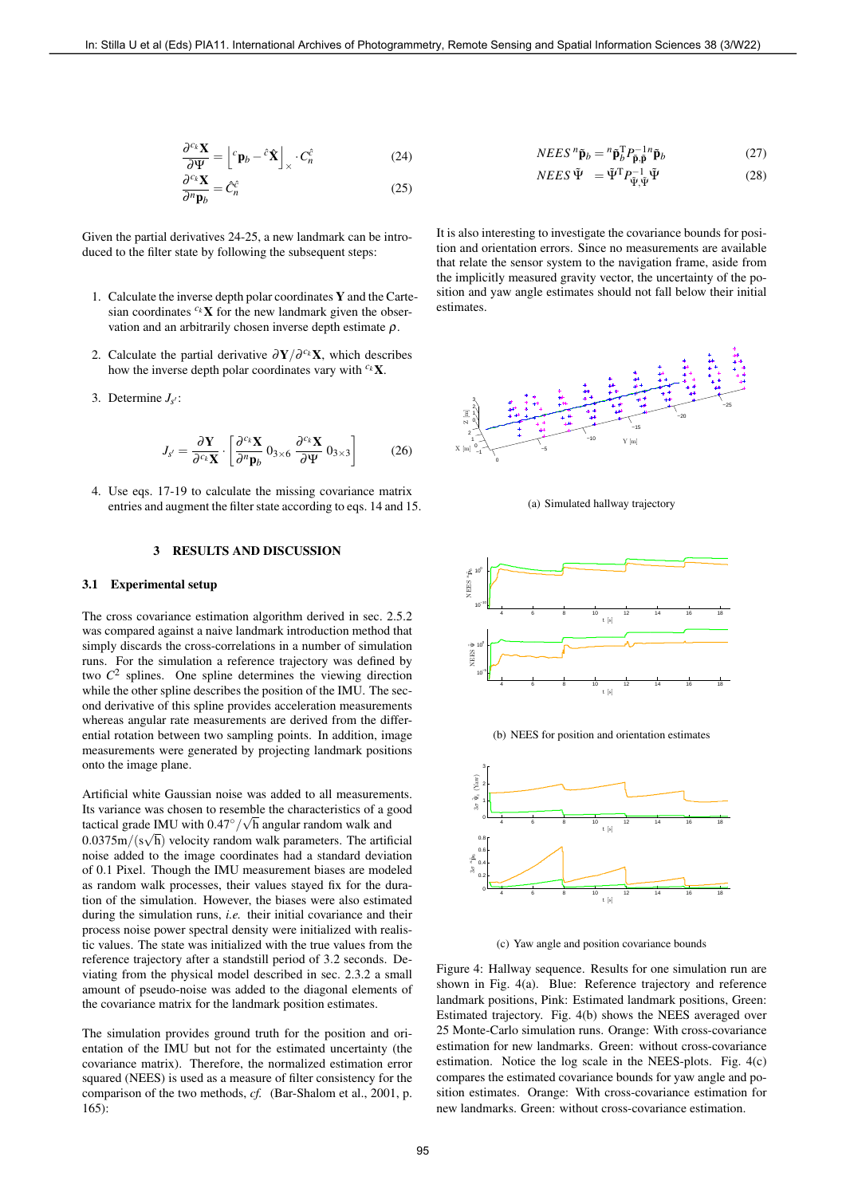$$
\frac{\partial^c \kappa \mathbf{X}}{\partial \Psi} = \left[ {}^c \mathbf{p}_b - {}^{\hat{c}} \hat{\mathbf{X}} \right]_{\times} \cdot C_n^{\hat{c}} \tag{24}
$$

$$
\frac{\partial^{c_k} \mathbf{X}}{\partial^n \mathbf{p}_b} = \hat{C}_n^{\hat{c}} \tag{25}
$$

Given the partial derivatives 24-25, a new landmark can be introduced to the filter state by following the subsequent steps:

- 1. Calculate the inverse depth polar coordinates Y and the Cartesian coordinates  $c_k$ **X** for the new landmark given the observation and an arbitrarily chosen inverse depth estimate  $\rho$ .
- 2. Calculate the partial derivative  $\partial \mathbf{Y}/\partial^{c_k} \mathbf{X}$ , which describes how the inverse depth polar coordinates vary with  $c_k \mathbf{X}$ .
- 3. Determine  $J_{s'}$ :

$$
J_{s'} = \frac{\partial \mathbf{Y}}{\partial^{c_k} \mathbf{X}} \cdot \left[ \frac{\partial^{c_k} \mathbf{X}}{\partial^{n} \mathbf{p}_{b}} \, 0_{3 \times 6} \, \frac{\partial^{c_k} \mathbf{X}}{\partial \Psi} \, 0_{3 \times 3} \right] \tag{26}
$$

4. Use eqs. 17-19 to calculate the missing covariance matrix entries and augment the filter state according to eqs. 14 and 15.

# 3 RESULTS AND DISCUSSION

#### 3.1 Experimental setup

The cross covariance estimation algorithm derived in sec. 2.5.2 was compared against a naive landmark introduction method that simply discards the cross-correlations in a number of simulation runs. For the simulation a reference trajectory was defined by two  $C<sup>2</sup>$  splines. One spline determines the viewing direction while the other spline describes the position of the IMU. The second derivative of this spline provides acceleration measurements whereas angular rate measurements are derived from the differential rotation between two sampling points. In addition, image measurements were generated by projecting landmark positions onto the image plane.

Artificial white Gaussian noise was added to all measurements. Its variance was chosen to resemble the characteristics of a good tactical grade IMU with  $0.47^\circ / \sqrt{h}$  angular random walk and  $0.0375m/(s\sqrt{h})$  velocity random walk parameters. The artificial noise added to the image coordinates had a standard deviation of 0.1 Pixel. Though the IMU measurement biases are modeled as random walk processes, their values stayed fix for the duration of the simulation. However, the biases were also estimated during the simulation runs, *i.e.* their initial covariance and their process noise power spectral density were initialized with realistic values. The state was initialized with the true values from the reference trajectory after a standstill period of 3.2 seconds. Deviating from the physical model described in sec. 2.3.2 a small amount of pseudo-noise was added to the diagonal elements of the covariance matrix for the landmark position estimates. Finding that the stilla unit of the stilla U et al. (2)  $\frac{d^2N}{dx^2} = \frac{N}{4} \sum_{n=1}^{\infty} \frac{N}{n} = \frac{N}{4} \sum_{n=1}^{\infty} \frac{N}{n} = \frac{N}{4} \sum_{n=1}^{\infty} \frac{N}{n} = \frac{N}{4} \sum_{n=1}^{\infty} \frac{N}{n} = \frac{N}{4} \sum_{n=1}^{\infty} \frac{N}{n} = \frac{N}{4} \sum_{n=1}$ 

The simulation provides ground truth for the position and orientation of the IMU but not for the estimated uncertainty (the covariance matrix). Therefore, the normalized estimation error squared (NEES) is used as a measure of filter consistency for the comparison of the two methods, *cf.* (Bar-Shalom et al., 2001, p. 165):

$$
NEES^{n}\tilde{\mathbf{p}}_{b} = {}^{n}\tilde{\mathbf{p}}_{b}^{\mathrm{T}} P_{\tilde{\mathbf{p}}, \tilde{\mathbf{p}}}^{-1} \tilde{\mathbf{p}}_{b}
$$
 (27)

$$
NEES \tilde{\Psi} = \tilde{\Psi}^{\mathrm{T}} P_{\tilde{\Psi}, \tilde{\Psi}}^{-1} \tilde{\Psi}
$$
 (28)

It is also interesting to investigate the covariance bounds for position and orientation errors. Since no measurements are available that relate the sensor system to the navigation frame, aside from the implicitly measured gravity vector, the uncertainty of the position and yaw angle estimates should not fall below their initial estimates.



(a) Simulated hallway trajectory



(b) NEES for position and orientation estimates



(c) Yaw angle and position covariance bounds

Figure 4: Hallway sequence. Results for one simulation run are shown in Fig. 4(a). Blue: Reference trajectory and reference landmark positions, Pink: Estimated landmark positions, Green: Estimated trajectory. Fig. 4(b) shows the NEES averaged over 25 Monte-Carlo simulation runs. Orange: With cross-covariance estimation for new landmarks. Green: without cross-covariance estimation. Notice the log scale in the NEES-plots. Fig. 4(c) compares the estimated covariance bounds for yaw angle and position estimates. Orange: With cross-covariance estimation for new landmarks. Green: without cross-covariance estimation.